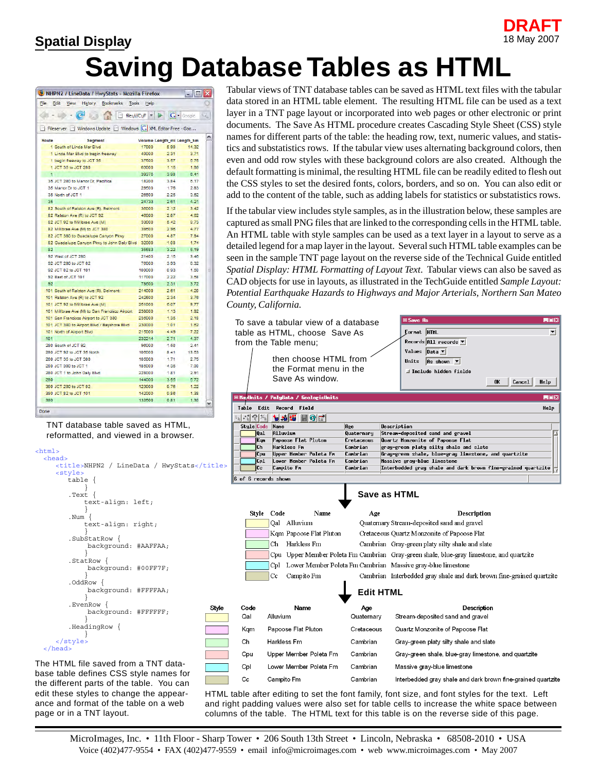## **Spatial Display** 18 May 2007



## **Saving Database Tables as HTML**

| File  | Edit         | View                  | History                              | <b>Bookmarks</b>                                                  | Tools | Help   |                                                      |       |        |
|-------|--------------|-----------------------|--------------------------------------|-------------------------------------------------------------------|-------|--------|------------------------------------------------------|-------|--------|
|       |              |                       | للعا                                 | L. TR                                                             |       |        | $\Box$ file:///C:/F + $\triangleright$ $\Box$ Google |       | $\sim$ |
|       |              |                       |                                      | Fileserver   Windows Update   Windows   C   XML Editor Free - Goo |       |        |                                                      |       |        |
| Route |              |                       | <b>Seament</b>                       |                                                                   |       |        | Volume Length mi Length km                           |       |        |
|       |              |                       | 1 South of Linda Mar Blvd            |                                                                   |       | 17000  | 8.90                                                 | 14.32 |        |
|       |              |                       | 1 Linda Mar Blvd to begin freeway    |                                                                   |       | 40000  | 2.31                                                 | 3.71  |        |
|       |              |                       | 1 begin freeway to JCT 35            |                                                                   |       | 37500  | 3.57                                                 | 5.75  |        |
|       |              | 1 JCT 35 to JCT 280   |                                      |                                                                   |       | 63000  | 1.15                                                 | 1.86  |        |
|       | $\mathbf{L}$ |                       |                                      |                                                                   |       | 39375  | 3.98                                                 | 8.41  |        |
|       |              |                       | 35 JCT 280 to Manor Dr. Pacifica     |                                                                   |       | 18200  | 3.84                                                 | 6.17  |        |
|       |              | 35 Manor Dr to JCT 1  |                                      |                                                                   |       | 29500  | 1.76                                                 | 2.83  |        |
|       |              | 35 North of JCT 1     |                                      |                                                                   |       | 26500  | 2.25                                                 | 3.62  |        |
| 35    |              |                       |                                      |                                                                   |       | 24733  | 2.61                                                 | 4.21  |        |
|       |              |                       |                                      | 82 South of Raiston Ave (R), Belmont                              |       | 36000  | 2.12                                                 | 3.42  |        |
|       |              |                       | 82 Ralston Ave (R) to JCT 92         |                                                                   |       | 46000  | 2.87                                                 | 4.62  |        |
|       |              |                       | 82 JCT 92 to Millbrae Ave (M)        |                                                                   |       | 33000  | 5.42                                                 | 8.73  |        |
|       |              |                       | 82 Millbrae Ave (M) to JCT 380       |                                                                   |       | 39500  | 2.96                                                 | 4.77  |        |
|       |              |                       |                                      | 82 JCT 380 to Guadalupe Canyon Pkwy                               |       | 27000  | 4.87                                                 | 7.84  |        |
|       |              |                       |                                      | 82 Guadalupe Canyon Pkwy to John Daly Blvd                        |       | 32000  | 1.08                                                 | 1.74  |        |
| 82    |              |                       |                                      |                                                                   |       | 35583  | 3.22                                                 | 5.19  |        |
|       |              | 92 West of JCT 280    |                                      |                                                                   |       | 21400  | 2.15                                                 | 3.46  |        |
|       |              | 92 JCT 280 to JCT 82  |                                      |                                                                   |       | 76000  | 3.93                                                 | 8.32  |        |
|       |              | 92 JCT 82 to JCT 101  |                                      |                                                                   |       | 100000 | 0.93.                                                | 1.50  |        |
|       |              | 92 Fast of JCT 101    |                                      |                                                                   |       | 117000 | 2.22                                                 | 3.58  |        |
| 92    |              |                       |                                      |                                                                   |       | 78600  | 2.31                                                 | 3.72  |        |
|       |              |                       |                                      | 101 South of Raiston Ave (R), Belmont                             |       | 214000 | 2.61                                                 | 4.20  |        |
|       |              |                       | 101 Ralston Ave (R) to JCT 92        |                                                                   |       | 242500 | 2.34                                                 | 3.76  |        |
|       |              |                       | 101 JCT 92 to Millbrae Ave (M)       |                                                                   |       | 251000 | 6.07                                                 | 9.77  |        |
|       |              |                       |                                      | 101 Millbrae Ave (M) to San Francisco Airport                     |       | 238000 | 1.13                                                 | 1.82  |        |
|       |              |                       | 101 San Francisco Airport to JCT 380 |                                                                   |       | 235000 | 1.35                                                 | 2.18  |        |
|       |              |                       |                                      | 101 JCT 380 to Airport Blvd / Bayshore Blvd                       |       | 230000 | 1.01                                                 | 1.62  |        |
|       |              |                       | 101 North of Airport Blvd            |                                                                   |       | 215000 | 4.49                                                 | 7.22  |        |
| 101   |              |                       |                                      |                                                                   |       | 232214 | 2.71                                                 | 4.37  |        |
|       |              | 280 South of JCT 92   |                                      |                                                                   |       | 96000  | 1.50                                                 | 2.41  |        |
|       |              |                       | 280 JCT 92 to JCT 35 North           |                                                                   |       | 106000 | 8.41                                                 | 13.53 |        |
|       |              | 280 JCT 35 to JCT 380 |                                      |                                                                   |       | 105000 | 1.71                                                 | 2.75  |        |
|       |              | 280 JCT 380 to JCT 1  |                                      |                                                                   |       | 185000 | 4.35                                                 | 700   |        |
|       |              |                       | 280 JCT 1 to John Daly Blvd          |                                                                   |       | 228000 | 1.81                                                 | 2.91  |        |
| 280   |              |                       |                                      |                                                                   |       | 144000 | 3.55                                                 | 5.72  |        |
|       |              | 380 JCT 280 to JCT 82 |                                      |                                                                   |       | 123000 | 0.76                                                 | 1.22  |        |
|       |              | 380 JCT 82 to JCT 101 |                                      |                                                                   |       | 142000 | 0.86                                                 | 1.38  |        |
| 380   |              |                       |                                      |                                                                   |       | 132500 | 0.81                                                 | 1.30  |        |
|       |              |                       |                                      |                                                                   |       |        |                                                      |       |        |

TNT database table saved as HTML, reformatted, and viewed in a browser.

```
<html>
  <head>
    <title>NHPN2 / LineData / HwyStats</tit
     <style>
       table {
 }
        .Text {
           text-align: left;
 }
        .Num {
           text-align: right;
 }
       .SubStatRow {
          background: #AAFFAA;
 }
        .StatRow {
          background: #00FF7F;
 }
       .OddRow {
          background: #FFFFAA;
 }
        .EvenRow {
          background: #FFFFFF;
 }
       .HeadingRow {
 }
     </style>
  </head>
```
s

 $\overline{\phantom{a}}$ 

The HTML file saved from a TNT database table defines CSS style names for the different parts of the table. You can edit these styles to change the appearance and format of the table on a web page or in a TNT layout.

Tabular views of TNT database tables can be saved as HTML text files with the tabular data stored in an HTML table element. The resulting HTML file can be used as a text layer in a TNT page layout or incorporated into web pages or other electronic or print documents. The Save As HTML procedure creates Cascading Style Sheet (CSS) style names for different parts of the table: the heading row, text, numeric values, and statistics and substatistics rows. If the tabular view uses alternating background colors, then even and odd row styles with these background colors are also created. Although the default formatting is minimal, the resulting HTML file can be readily edited to flesh out the CSS styles to set the desired fonts, colors, borders, and so on. You can also edit or add to the content of the table, such as adding labels for statistics or substatistics rows.

If the tabular view includes style samples, as in the illustration below, these samples are captured as small PNG files that are linked to the corresponding cells in the HTML table. An HTML table with style samples can be used as a text layer in a layout to serve as a detailed legend for a map layer in the layout. Several such HTML table examples can be seen in the sample TNT page layout on the reverse side of the Technical Guide entitled *Spatial Display: HTML Formatting of Layout Text*. Tabular views can also be saved as CAD objects for use in layouts, as illustrated in the TechGuide entitled *Sample Layout: Potential Earthquake Hazards to Highways and Major Arterials, Northern San Mateo County, California.*

|      |                                                                                              | To save a tabular view of a database<br>table as HTML, choose Save As<br>from the Table menu;<br>then choose HTML from<br>the Format menu in the<br>Save As window. |                        | $\Box$ ox<br><b>■ Save As</b><br>Fornat HTML<br>▼<br>Records All records V<br>Values $\boxed{Data \blacktriangledown}$<br>$\left  \text{As shown} \right $<br>Units<br>⊿ Include hidden fields<br><b>OK</b><br>Cancel<br>Help |                                                                                             |           |  |  |  |  |  |  |
|------|----------------------------------------------------------------------------------------------|---------------------------------------------------------------------------------------------------------------------------------------------------------------------|------------------------|-------------------------------------------------------------------------------------------------------------------------------------------------------------------------------------------------------------------------------|---------------------------------------------------------------------------------------------|-----------|--|--|--|--|--|--|
|      |                                                                                              |                                                                                                                                                                     |                        |                                                                                                                                                                                                                               |                                                                                             |           |  |  |  |  |  |  |
|      |                                                                                              | <b>≡ Naplinits / PolyData / GeologicUnits</b>                                                                                                                       |                        |                                                                                                                                                                                                                               |                                                                                             | $\Box$ ox |  |  |  |  |  |  |
|      | Edit<br>Table                                                                                | Record<br>Field                                                                                                                                                     |                        |                                                                                                                                                                                                                               | Help                                                                                        |           |  |  |  |  |  |  |
|      | $\mathbb{R}^{ \mathcal{V}_k }$<br>$1_{\mathbb{R}}$ $\cdot$ $\mathbb{R}$<br><b>Style Code</b> | 制模糊<br>eke<br><b>Nane</b>                                                                                                                                           | Description            |                                                                                                                                                                                                                               |                                                                                             |           |  |  |  |  |  |  |
|      | Age<br>Alluvium<br> Qal<br>Quaternary                                                        |                                                                                                                                                                     |                        |                                                                                                                                                                                                                               | Strean-deposited sand and gravel                                                            |           |  |  |  |  |  |  |
|      | Papoose Flat Pluton<br> Kqn<br>Harkless Fn<br>lCh                                            |                                                                                                                                                                     | Cretaceous<br>Cambrian |                                                                                                                                                                                                                               | Quartz Monzonite of Papoose Flat<br>gray-green platy silty shale and slate                  |           |  |  |  |  |  |  |
|      | <b>Cpu</b>                                                                                   | Upper Member Poleta Fm                                                                                                                                              | Cambrian               |                                                                                                                                                                                                                               | Gray-green shale, blue-gray linestone, and quartzite                                        |           |  |  |  |  |  |  |
| 1e   | $ C_{\mathsf{P}} $<br>Сc                                                                     | Lower Member Poleta Fm<br>Campito Fm                                                                                                                                | Cambrian<br>Cambrian   |                                                                                                                                                                                                                               | Massive gray-blue linestone<br>Interbedded gray shale and dark brown fine-grained quartzite |           |  |  |  |  |  |  |
|      | of 6 records shown<br>6.                                                                     |                                                                                                                                                                     |                        |                                                                                                                                                                                                                               |                                                                                             |           |  |  |  |  |  |  |
|      | Save as HTML                                                                                 |                                                                                                                                                                     |                        |                                                                                                                                                                                                                               |                                                                                             |           |  |  |  |  |  |  |
|      | Style Code                                                                                   | Name                                                                                                                                                                | Age                    |                                                                                                                                                                                                                               | <b>Description</b>                                                                          |           |  |  |  |  |  |  |
|      |                                                                                              | Qal Alluvium                                                                                                                                                        |                        |                                                                                                                                                                                                                               | Quaternary Stream-deposited sand and gravel                                                 |           |  |  |  |  |  |  |
|      |                                                                                              | Kqm Papoose Flat Pluton                                                                                                                                             |                        |                                                                                                                                                                                                                               | Cretaceous Quartz Monzonite of Papoose Flat                                                 |           |  |  |  |  |  |  |
|      |                                                                                              | Ch<br>Harkless Fm                                                                                                                                                   |                        |                                                                                                                                                                                                                               | Cambrian Gray-green platy silty shale and slate                                             |           |  |  |  |  |  |  |
|      |                                                                                              |                                                                                                                                                                     |                        |                                                                                                                                                                                                                               | Cpu Upper Member Poleta Fm Cambrian Gray-green shale, blue-gray limestone, and quartzite    |           |  |  |  |  |  |  |
|      |                                                                                              | Cpl                                                                                                                                                                 |                        |                                                                                                                                                                                                                               | Lower Member Poleta Fm Cambrian Massive gray-blue limestone                                 |           |  |  |  |  |  |  |
|      |                                                                                              | Campito Fm<br>$_{\rm Cc}$                                                                                                                                           |                        |                                                                                                                                                                                                                               | Cambrian Interbedded gray shale and dark brown fine-grained quartzite                       |           |  |  |  |  |  |  |
|      | <b>Edit HTML</b>                                                                             |                                                                                                                                                                     |                        |                                                                                                                                                                                                                               |                                                                                             |           |  |  |  |  |  |  |
| tyle | Code                                                                                         | Name                                                                                                                                                                | Age                    |                                                                                                                                                                                                                               | Description                                                                                 |           |  |  |  |  |  |  |
|      | Qal                                                                                          | Alluvium                                                                                                                                                            | Quaternary             |                                                                                                                                                                                                                               | Stream-deposited sand and gravel                                                            |           |  |  |  |  |  |  |
|      | Kqm                                                                                          | Papoose Flat Pluton                                                                                                                                                 | Cretaceous             |                                                                                                                                                                                                                               | Quartz Monzonite of Papoose Flat                                                            |           |  |  |  |  |  |  |
|      | Ch                                                                                           | Harkless Fm                                                                                                                                                         | Cambrian               |                                                                                                                                                                                                                               | Gray-green platy silty shale and slate                                                      |           |  |  |  |  |  |  |
|      | Cpu                                                                                          | Upper Member Poleta Fm                                                                                                                                              | Cambrian               |                                                                                                                                                                                                                               | Gray-green shale, blue-gray limestone, and quartzite                                        |           |  |  |  |  |  |  |
|      | Cpl                                                                                          | Lower Member Poleta Fm                                                                                                                                              | Cambrian               |                                                                                                                                                                                                                               | Massive gray-blue limestone                                                                 |           |  |  |  |  |  |  |
|      | Сc                                                                                           | Campito Fm                                                                                                                                                          | Cambrian               |                                                                                                                                                                                                                               | Interbedded gray shale and dark brown fine-grained quartzite                                |           |  |  |  |  |  |  |

HTML table after editing to set the font family, font size, and font styles for the text. Left and right padding values were also set for table cells to increase the white space between columns of the table. The HTML text for this table is on the reverse side of this page.